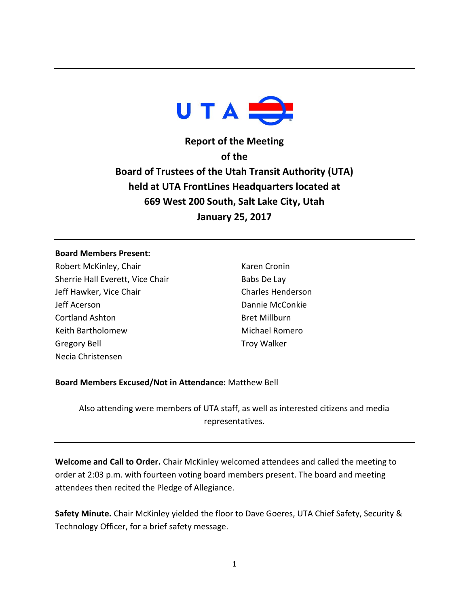

**Report of the Meeting of the Board of Trustees of the Utah Transit Authority (UTA) held at UTA FrontLines Headquarters located at 669 West 200 South, Salt Lake City, Utah January 25, 2017**

#### **Board Members Present:**

Robert McKinley, Chair Sherrie Hall Everett, Vice Chair Jeff Hawker, Vice Chair Jeff Acerson Cortland Ashton Keith Bartholomew Gregory Bell Necia Christensen

Karen Cronin Babs De Lay Charles Henderson Dannie McConkie Bret Millburn Michael Romero Troy Walker

# **Board Members Excused/Not in Attendance:** Matthew Bell

Also attending were members of UTA staff, as well as interested citizens and media representatives.

**Welcome and Call to Order.** Chair McKinley welcomed attendees and called the meeting to order at 2:03 p.m. with fourteen voting board members present. The board and meeting attendees then recited the Pledge of Allegiance.

**Safety Minute.** Chair McKinley yielded the floor to Dave Goeres, UTA Chief Safety, Security & Technology Officer, for a brief safety message.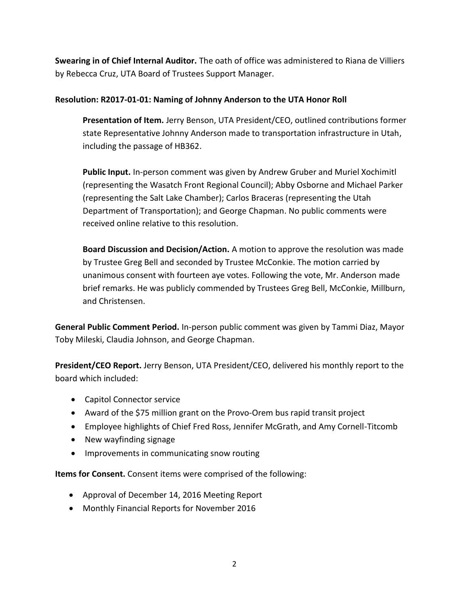**Swearing in of Chief Internal Auditor.** The oath of office was administered to Riana de Villiers by Rebecca Cruz, UTA Board of Trustees Support Manager.

# **Resolution: R2017-01-01: Naming of Johnny Anderson to the UTA Honor Roll**

**Presentation of Item.** Jerry Benson, UTA President/CEO, outlined contributions former state Representative Johnny Anderson made to transportation infrastructure in Utah, including the passage of HB362.

**Public Input.** In-person comment was given by Andrew Gruber and Muriel Xochimitl (representing the Wasatch Front Regional Council); Abby Osborne and Michael Parker (representing the Salt Lake Chamber); Carlos Braceras (representing the Utah Department of Transportation); and George Chapman. No public comments were received online relative to this resolution.

**Board Discussion and Decision/Action.** A motion to approve the resolution was made by Trustee Greg Bell and seconded by Trustee McConkie. The motion carried by unanimous consent with fourteen aye votes. Following the vote, Mr. Anderson made brief remarks. He was publicly commended by Trustees Greg Bell, McConkie, Millburn, and Christensen.

**General Public Comment Period.** In-person public comment was given by Tammi Diaz, Mayor Toby Mileski, Claudia Johnson, and George Chapman.

**President/CEO Report.** Jerry Benson, UTA President/CEO, delivered his monthly report to the board which included:

- Capitol Connector service
- Award of the \$75 million grant on the Provo-Orem bus rapid transit project
- Employee highlights of Chief Fred Ross, Jennifer McGrath, and Amy Cornell-Titcomb
- New wayfinding signage
- Improvements in communicating snow routing

**Items for Consent.** Consent items were comprised of the following:

- Approval of December 14, 2016 Meeting Report
- Monthly Financial Reports for November 2016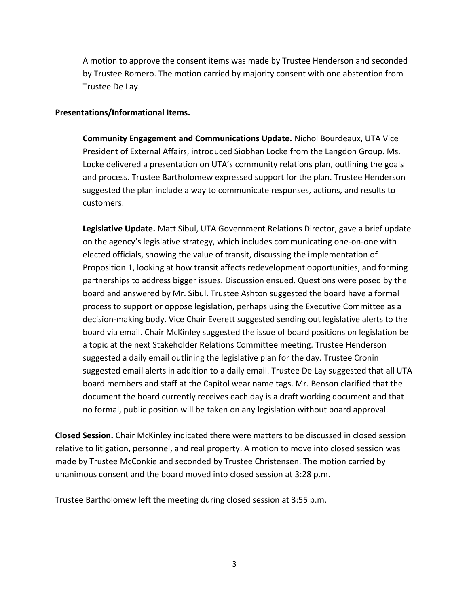A motion to approve the consent items was made by Trustee Henderson and seconded by Trustee Romero. The motion carried by majority consent with one abstention from Trustee De Lay.

### **Presentations/Informational Items.**

**Community Engagement and Communications Update.** Nichol Bourdeaux, UTA Vice President of External Affairs, introduced Siobhan Locke from the Langdon Group. Ms. Locke delivered a presentation on UTA's community relations plan, outlining the goals and process. Trustee Bartholomew expressed support for the plan. Trustee Henderson suggested the plan include a way to communicate responses, actions, and results to customers.

**Legislative Update.** Matt Sibul, UTA Government Relations Director, gave a brief update on the agency's legislative strategy, which includes communicating one-on-one with elected officials, showing the value of transit, discussing the implementation of Proposition 1, looking at how transit affects redevelopment opportunities, and forming partnerships to address bigger issues. Discussion ensued. Questions were posed by the board and answered by Mr. Sibul. Trustee Ashton suggested the board have a formal process to support or oppose legislation, perhaps using the Executive Committee as a decision-making body. Vice Chair Everett suggested sending out legislative alerts to the board via email. Chair McKinley suggested the issue of board positions on legislation be a topic at the next Stakeholder Relations Committee meeting. Trustee Henderson suggested a daily email outlining the legislative plan for the day. Trustee Cronin suggested email alerts in addition to a daily email. Trustee De Lay suggested that all UTA board members and staff at the Capitol wear name tags. Mr. Benson clarified that the document the board currently receives each day is a draft working document and that no formal, public position will be taken on any legislation without board approval.

**Closed Session.** Chair McKinley indicated there were matters to be discussed in closed session relative to litigation, personnel, and real property. A motion to move into closed session was made by Trustee McConkie and seconded by Trustee Christensen. The motion carried by unanimous consent and the board moved into closed session at 3:28 p.m.

Trustee Bartholomew left the meeting during closed session at 3:55 p.m.